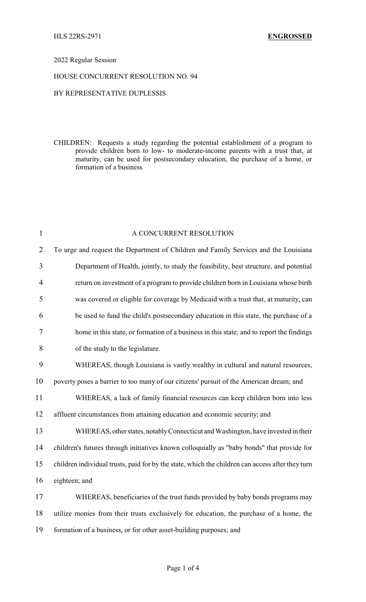## 2022 Regular Session

## HOUSE CONCURRENT RESOLUTION NO. 94

## BY REPRESENTATIVE DUPLESSIS

CHILDREN: Requests a study regarding the potential establishment of a program to provide children born to low- to moderate-income parents with a trust that, at maturity, can be used for postsecondary education, the purchase of a home, or formation of a business

| $\mathbf{1}$   | A CONCURRENT RESOLUTION                                                                          |
|----------------|--------------------------------------------------------------------------------------------------|
| $\overline{2}$ | To urge and request the Department of Children and Family Services and the Louisiana             |
| $\overline{3}$ | Department of Health, jointly, to study the feasibility, best structure, and potential           |
| $\overline{4}$ | return on investment of a program to provide children born in Louisiana whose birth              |
| 5              | was covered or eligible for coverage by Medicaid with a trust that, at maturity, can             |
| 6              | be used to fund the child's postsecondary education in this state, the purchase of a             |
| 7              | home in this state, or formation of a business in this state; and to report the findings         |
| 8              | of the study to the legislature.                                                                 |
| 9              | WHEREAS, though Louisiana is vastly wealthy in cultural and natural resources,                   |
| 10             | poverty poses a barrier to too many of our citizens' pursuit of the American dream; and          |
| 11             | WHEREAS, a lack of family financial resources can keep children born into less                   |
| 12             | affluent circumstances from attaining education and economic security; and                       |
| 13             | WHEREAS, other states, notably Connecticut and Washington, have invested in their                |
| 14             | children's futures through initiatives known colloquially as "baby bonds" that provide for       |
| 15             | children individual trusts, paid for by the state, which the children can access after they turn |
| 16             | eighteen; and                                                                                    |
| 17             | WHEREAS, beneficiaries of the trust funds provided by baby bonds programs may                    |
| 18             | utilize monies from their trusts exclusively for education, the purchase of a home, the          |
| 19             | formation of a business, or for other asset-building purposes; and                               |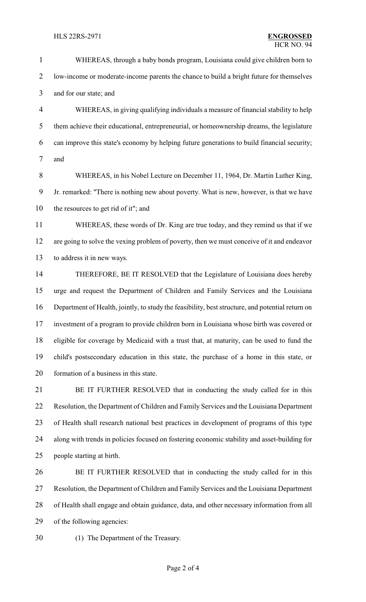WHEREAS, through a baby bonds program, Louisiana could give children born to low-income or moderate-income parents the chance to build a bright future for themselves and for our state; and

 WHEREAS, in giving qualifying individuals a measure of financial stability to help them achieve their educational, entrepreneurial, or homeownership dreams, the legislature can improve this state's economy by helping future generations to build financial security; and

 WHEREAS, in his Nobel Lecture on December 11, 1964, Dr. Martin Luther King, Jr. remarked: "There is nothing new about poverty. What is new, however, is that we have the resources to get rid of it"; and

 WHEREAS, these words of Dr. King are true today, and they remind us that if we are going to solve the vexing problem of poverty, then we must conceive of it and endeavor to address it in new ways.

 THEREFORE, BE IT RESOLVED that the Legislature of Louisiana does hereby urge and request the Department of Children and Family Services and the Louisiana Department of Health, jointly, to study the feasibility, best structure, and potential return on investment of a program to provide children born in Louisiana whose birth was covered or eligible for coverage by Medicaid with a trust that, at maturity, can be used to fund the child's postsecondary education in this state, the purchase of a home in this state, or formation of a business in this state.

 BE IT FURTHER RESOLVED that in conducting the study called for in this Resolution, the Department of Children and Family Services and the Louisiana Department of Health shall research national best practices in development of programs of this type along with trends in policies focused on fostering economic stability and asset-building for people starting at birth.

 BE IT FURTHER RESOLVED that in conducting the study called for in this Resolution, the Department of Children and Family Services and the Louisiana Department of Health shall engage and obtain guidance, data, and other necessary information from all of the following agencies:

(1) The Department of the Treasury.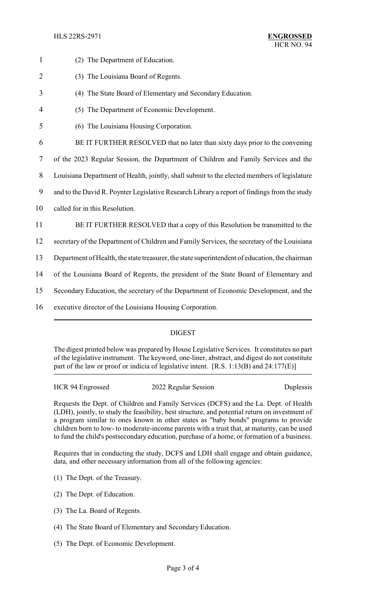HLS 22RS-2971 **ENGROSSED**

| $\mathbf{1}$   | (2) The Department of Education.                                                               |
|----------------|------------------------------------------------------------------------------------------------|
| $\overline{2}$ | (3) The Louisiana Board of Regents.                                                            |
| 3              | (4) The State Board of Elementary and Secondary Education.                                     |
| 4              | (5) The Department of Economic Development.                                                    |
| 5              | (6) The Louisiana Housing Corporation.                                                         |
| 6              | BE IT FURTHER RESOLVED that no later than sixty days prior to the convening                    |
| $\tau$         | of the 2023 Regular Session, the Department of Children and Family Services and the            |
| $8\,$          | Louisiana Department of Health, jointly, shall submit to the elected members of legislature    |
| 9              | and to the David R. Poynter Legislative Research Library a report of findings from the study   |
| 10             | called for in this Resolution.                                                                 |
| 11             | BE IT FURTHER RESOLVED that a copy of this Resolution be transmitted to the                    |
| 12             | secretary of the Department of Children and Family Services, the secretary of the Louisiana    |
| 13             | Department of Health, the state treasurer, the state superintendent of education, the chairman |
| 14             | of the Louisiana Board of Regents, the president of the State Board of Elementary and          |
| 15             | Secondary Education, the secretary of the Department of Economic Development, and the          |
| 16             | executive director of the Louisiana Housing Corporation.                                       |
|                |                                                                                                |

# DIGEST

The digest printed below was prepared by House Legislative Services. It constitutes no part of the legislative instrument. The keyword, one-liner, abstract, and digest do not constitute part of the law or proof or indicia of legislative intent. [R.S. 1:13(B) and 24:177(E)]

HCR 94 Engrossed 2022 Regular Session Duplessis

Requests the Dept. of Children and Family Services (DCFS) and the La. Dept. of Health (LDH), jointly, to study the feasibility, best structure, and potential return on investment of a program similar to ones known in other states as "baby bonds" programs to provide children born to low- to moderate-income parents with a trust that, at maturity, can be used to fund the child's postsecondary education, purchase of a home, or formation of a business.

Requires that in conducting the study, DCFS and LDH shall engage and obtain guidance, data, and other necessary information from all of the following agencies:

- (1) The Dept. of the Treasury.
- (2) The Dept. of Education.
- (3) The La. Board of Regents.
- (4) The State Board of Elementary and Secondary Education.
- (5) The Dept. of Economic Development.